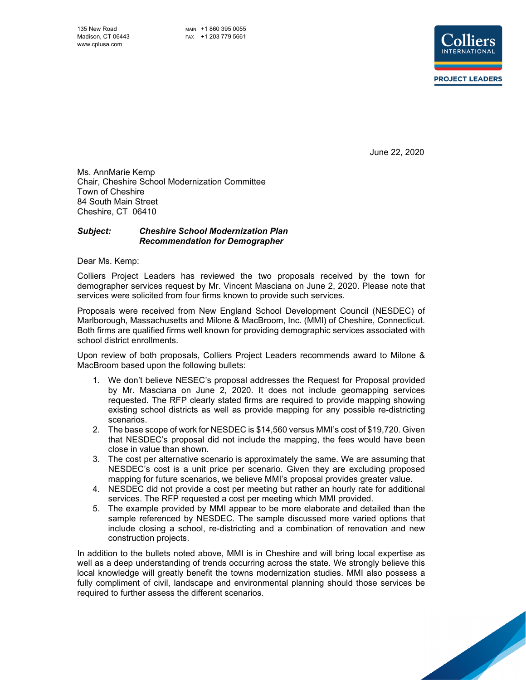

June 22, 2020

Ms. AnnMarie Kemp Chair, Cheshire School Modernization Committee Town of Cheshire 84 South Main Street Cheshire, CT 06410

## *Subject: Cheshire School Modernization Plan Recommendation for Demographer*

Dear Ms. Kemp:

Colliers Project Leaders has reviewed the two proposals received by the town for demographer services request by Mr. Vincent Masciana on June 2, 2020. Please note that services were solicited from four firms known to provide such services.

Proposals were received from New England School Development Council (NESDEC) of Marlborough, Massachusetts and Milone & MacBroom, Inc. (MMI) of Cheshire, Connecticut. Both firms are qualified firms well known for providing demographic services associated with school district enrollments.

Upon review of both proposals, Colliers Project Leaders recommends award to Milone & MacBroom based upon the following bullets:

- 1. We don't believe NESEC's proposal addresses the Request for Proposal provided by Mr. Masciana on June 2, 2020. It does not include geomapping services requested. The RFP clearly stated firms are required to provide mapping showing existing school districts as well as provide mapping for any possible re-districting scenarios.
- 2. The base scope of work for NESDEC is \$14,560 versus MMI's cost of \$19,720. Given that NESDEC's proposal did not include the mapping, the fees would have been close in value than shown.
- 3. The cost per alternative scenario is approximately the same. We are assuming that NESDEC's cost is a unit price per scenario. Given they are excluding proposed mapping for future scenarios, we believe MMI's proposal provides greater value.
- 4. NESDEC did not provide a cost per meeting but rather an hourly rate for additional services. The RFP requested a cost per meeting which MMI provided.
- 5. The example provided by MMI appear to be more elaborate and detailed than the sample referenced by NESDEC. The sample discussed more varied options that include closing a school, re-districting and a combination of renovation and new construction projects.

In addition to the bullets noted above, MMI is in Cheshire and will bring local expertise as well as a deep understanding of trends occurring across the state. We strongly believe this local knowledge will greatly benefit the towns modernization studies. MMI also possess a fully compliment of civil, landscape and environmental planning should those services be required to further assess the different scenarios.